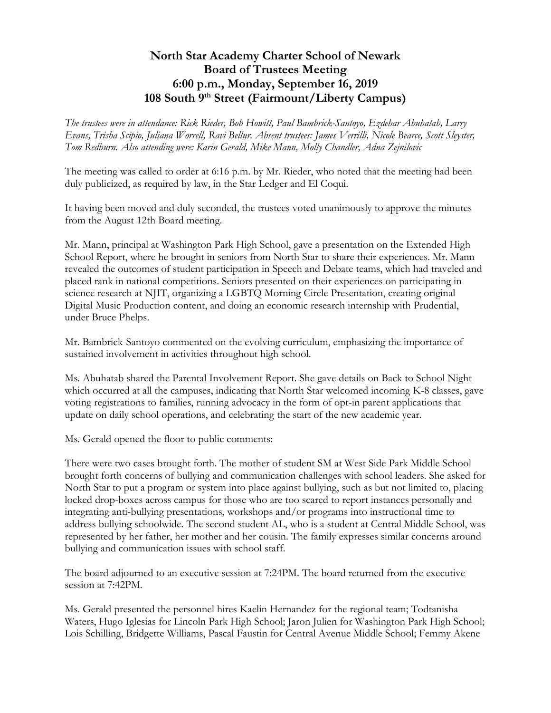## **North Star Academy Charter School of Newark Board of Trustees Meeting 6:00 p.m., Monday, September 16, 2019 108 South 9th Street (Fairmount/Liberty Campus)**

*The trustees were in attendance: Rick Rieder, Bob Howitt, Paul Bambrick-Santoyo, Ezdehar Abuhatab, Larry Evans, Trisha Scipio, Juliana Worrell, Ravi Bellur. Absent trustees: James Verrilli, Nicole Bearce, Scott Sleyster, Tom Redburn. Also attending were: Karin Gerald, Mike Mann, Molly Chandler, Adna Zejnilovic*

The meeting was called to order at 6:16 p.m. by Mr. Rieder, who noted that the meeting had been duly publicized, as required by law, in the Star Ledger and El Coqui.

It having been moved and duly seconded, the trustees voted unanimously to approve the minutes from the August 12th Board meeting.

Mr. Mann, principal at Washington Park High School, gave a presentation on the Extended High School Report, where he brought in seniors from North Star to share their experiences. Mr. Mann revealed the outcomes of student participation in Speech and Debate teams, which had traveled and placed rank in national competitions. Seniors presented on their experiences on participating in science research at NJIT, organizing a LGBTQ Morning Circle Presentation, creating original Digital Music Production content, and doing an economic research internship with Prudential, under Bruce Phelps.

Mr. Bambrick-Santoyo commented on the evolving curriculum, emphasizing the importance of sustained involvement in activities throughout high school.

Ms. Abuhatab shared the Parental Involvement Report. She gave details on Back to School Night which occurred at all the campuses, indicating that North Star welcomed incoming K-8 classes, gave voting registrations to families, running advocacy in the form of opt-in parent applications that update on daily school operations, and celebrating the start of the new academic year.

Ms. Gerald opened the floor to public comments:

There were two cases brought forth. The mother of student SM at West Side Park Middle School brought forth concerns of bullying and communication challenges with school leaders. She asked for North Star to put a program or system into place against bullying, such as but not limited to, placing locked drop-boxes across campus for those who are too scared to report instances personally and integrating anti-bullying presentations, workshops and/or programs into instructional time to address bullying schoolwide. The second student AL, who is a student at Central Middle School, was represented by her father, her mother and her cousin. The family expresses similar concerns around bullying and communication issues with school staff.

The board adjourned to an executive session at 7:24PM. The board returned from the executive session at 7:42PM.

Ms. Gerald presented the personnel hires Kaelin Hernandez for the regional team; Todtanisha Waters, Hugo Iglesias for Lincoln Park High School; Jaron Julien for Washington Park High School; Lois Schilling, Bridgette Williams, Pascal Faustin for Central Avenue Middle School; Femmy Akene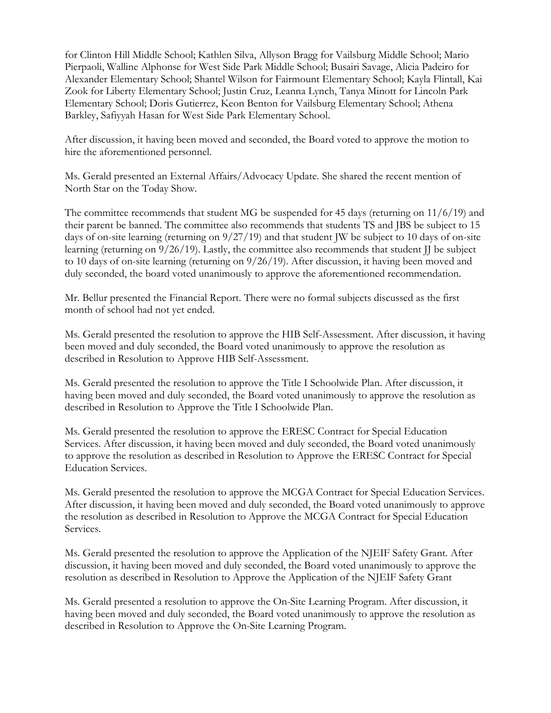for Clinton Hill Middle School; Kathlen Silva, Allyson Bragg for Vailsburg Middle School; Mario Pierpaoli, Walline Alphonse for West Side Park Middle School; Busairi Savage, Alicia Padeiro for Alexander Elementary School; Shantel Wilson for Fairmount Elementary School; Kayla Flintall, Kai Zook for Liberty Elementary School; Justin Cruz, Leanna Lynch, Tanya Minott for Lincoln Park Elementary School; Doris Gutierrez, Keon Benton for Vailsburg Elementary School; Athena Barkley, Safiyyah Hasan for West Side Park Elementary School.

After discussion, it having been moved and seconded, the Board voted to approve the motion to hire the aforementioned personnel.

Ms. Gerald presented an External Affairs/Advocacy Update. She shared the recent mention of North Star on the Today Show.

The committee recommends that student MG be suspended for 45 days (returning on  $11/6/19$ ) and their parent be banned. The committee also recommends that students TS and JBS be subject to 15 days of on-site learning (returning on 9/27/19) and that student JW be subject to 10 days of on-site learning (returning on  $9/26/19$ ). Lastly, the committee also recommends that student JJ be subject to 10 days of on-site learning (returning on 9/26/19). After discussion, it having been moved and duly seconded, the board voted unanimously to approve the aforementioned recommendation.

Mr. Bellur presented the Financial Report. There were no formal subjects discussed as the first month of school had not yet ended.

Ms. Gerald presented the resolution to approve the HIB Self-Assessment. After discussion, it having been moved and duly seconded, the Board voted unanimously to approve the resolution as described in Resolution to Approve HIB Self-Assessment.

Ms. Gerald presented the resolution to approve the Title I Schoolwide Plan. After discussion, it having been moved and duly seconded, the Board voted unanimously to approve the resolution as described in Resolution to Approve the Title I Schoolwide Plan.

Ms. Gerald presented the resolution to approve the ERESC Contract for Special Education Services. After discussion, it having been moved and duly seconded, the Board voted unanimously to approve the resolution as described in Resolution to Approve the ERESC Contract for Special Education Services.

Ms. Gerald presented the resolution to approve the MCGA Contract for Special Education Services. After discussion, it having been moved and duly seconded, the Board voted unanimously to approve the resolution as described in Resolution to Approve the MCGA Contract for Special Education Services.

Ms. Gerald presented the resolution to approve the Application of the NJEIF Safety Grant. After discussion, it having been moved and duly seconded, the Board voted unanimously to approve the resolution as described in Resolution to Approve the Application of the NJEIF Safety Grant

Ms. Gerald presented a resolution to approve the On-Site Learning Program. After discussion, it having been moved and duly seconded, the Board voted unanimously to approve the resolution as described in Resolution to Approve the On-Site Learning Program.